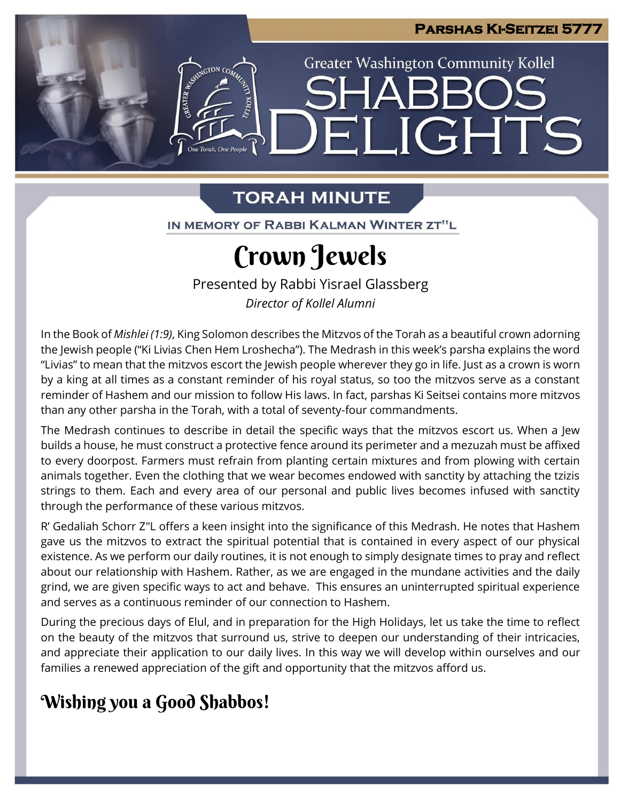**Greater Washington Community Kollel** 

ELIGHTS

## **TORAH MINUTE**

One Torah. One People

IN MEMORY OF RABBI KALMAN WINTER ZT"L

# Crown Jewels

Presented by Rabbi Yisrael Glassberg *Director of Kollel Alumni*

In the Book of *Mishlei (1:9)*, King Solomon describes the Mitzvos of the Torah as a beautiful crown adorning the Jewish people ("Ki Livias Chen Hem Lroshecha"). The Medrash in this week's parsha explains the word "Livias" to mean that the mitzvos escort the Jewish people wherever they go in life. Just as a crown is worn by a king at all times as a constant reminder of his royal status, so too the mitzvos serve as a constant reminder of Hashem and our mission to follow His laws. In fact, parshas Ki Seitsei contains more mitzvos than any other parsha in the Torah, with a total of seventy-four commandments.

The Medrash continues to describe in detail the specific ways that the mitzvos escort us. When a Jew builds a house, he must construct a protective fence around its perimeter and a mezuzah must be affixed to every doorpost. Farmers must refrain from planting certain mixtures and from plowing with certain animals together. Even the clothing that we wear becomes endowed with sanctity by attaching the tzizis strings to them. Each and every area of our personal and public lives becomes infused with sanctity through the performance of these various mitzvos.

R' Gedaliah Schorr Z"L offers a keen insight into the significance of this Medrash. He notes that Hashem gave us the mitzvos to extract the spiritual potential that is contained in every aspect of our physical existence. As we perform our daily routines, it is not enough to simply designate times to pray and reflect about our relationship with Hashem. Rather, as we are engaged in the mundane activities and the daily grind, we are given specific ways to act and behave. This ensures an uninterrupted spiritual experience and serves as a continuous reminder of our connection to Hashem.

During the precious days of Elul, and in preparation for the High Holidays, let us take the time to reflect on the beauty of the mitzvos that surround us, strive to deepen our understanding of their intricacies, and appreciate their application to our daily lives. In this way we will develop within ourselves and our families a renewed appreciation of the gift and opportunity that the mitzvos afford us.

### Wishing you a Good Shabbos!